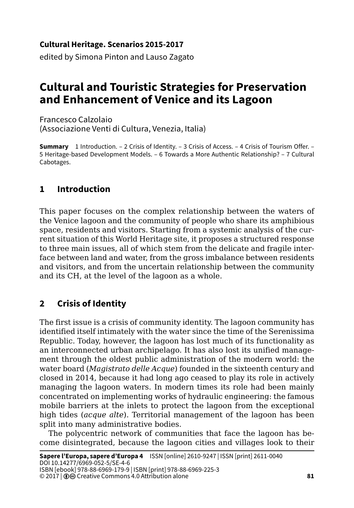#### **Cultural Heritage. Scenarios 2015-2017**

edited by Simona Pinton and Lauso Zagato

# **Cultural and Touristic Strategies for Preservation and Enhancement of Venice and its Lagoon**

Francesco Calzolaio (Associazione Venti di Cultura, Venezia, Italia)

**Summary** 1 Introduction. – 2 Crisis of Identity. – 3 Crisis of Access. – 4 Crisis of Tourism Offer. – 5 Heritage-based Development Models. – 6 Towards a More Authentic Relationship? – 7 Cultural Cabotages.

### **1 Introduction**

This paper focuses on the complex relationship between the waters of the Venice lagoon and the community of people who share its amphibious space, residents and visitors. Starting from a systemic analysis of the current situation of this World Heritage site, it proposes a structured response to three main issues, all of which stem from the delicate and fragile interface between land and water, from the gross imbalance between residents and visitors, and from the uncertain relationship between the community and its CH, at the level of the lagoon as a whole.

### **2 Crisis of Identity**

The first issue is a crisis of community identity. The lagoon community has identified itself intimately with the water since the time of the Serenissima Republic. Today, however, the lagoon has lost much of its functionality as an interconnected urban archipelago. It has also lost its unified management through the oldest public administration of the modern world: the water board (*Magistrato delle Acque*) founded in the sixteenth century and closed in 2014, because it had long ago ceased to play its role in actively managing the lagoon waters. In modern times its role had been mainly concentrated on implementing works of hydraulic engineering: the famous mobile barriers at the inlets to protect the lagoon from the exceptional high tides (*acque alte*). Territorial management of the lagoon has been split into many administrative bodies.

The polycentric network of communities that face the lagoon has become disintegrated, because the lagoon cities and villages look to their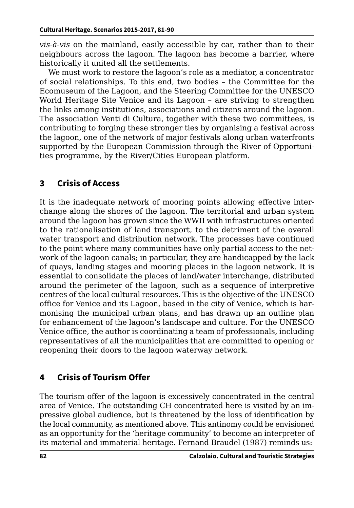*vis-à-vis* on the mainland, easily accessible by car, rather than to their neighbours across the lagoon. The lagoon has become a barrier, where historically it united all the settlements.

We must work to restore the lagoon's role as a mediator, a concentrator of social relationships. To this end, two bodies – the Committee for the Ecomuseum of the Lagoon, and the Steering Committee for the UNESCO World Heritage Site Venice and its Lagoon – are striving to strengthen the links among institutions, associations and citizens around the lagoon. The association Venti di Cultura, together with these two committees, is contributing to forging these stronger ties by organising a festival across the lagoon, one of the network of major festivals along urban waterfronts supported by the European Commission through the River of Opportunities programme, by the River/Cities European platform.

### **3 Crisis of Access**

It is the inadequate network of mooring points allowing effective interchange along the shores of the lagoon. The territorial and urban system around the lagoon has grown since the WWII with infrastructures oriented to the rationalisation of land transport, to the detriment of the overall water transport and distribution network. The processes have continued to the point where many communities have only partial access to the network of the lagoon canals; in particular, they are handicapped by the lack of quays, landing stages and mooring places in the lagoon network. It is essential to consolidate the places of land/water interchange, distributed around the perimeter of the lagoon, such as a sequence of interpretive centres of the local cultural resources. This is the objective of the UNESCO office for Venice and its Lagoon, based in the city of Venice, which is harmonising the municipal urban plans, and has drawn up an outline plan for enhancement of the lagoon's landscape and culture. For the UNESCO Venice office, the author is coordinating a team of professionals, including representatives of all the municipalities that are committed to opening or reopening their doors to the lagoon waterway network.

## **4 Crisis of Tourism Offer**

The tourism offer of the lagoon is excessively concentrated in the central area of Venice. The outstanding CH concentrated here is visited by an impressive global audience, but is threatened by the loss of identification by the local community, as mentioned above. This antinomy could be envisioned as an opportunity for the 'heritage community' to become an interpreter of its material and immaterial heritage. Fernand Braudel (1987) reminds us: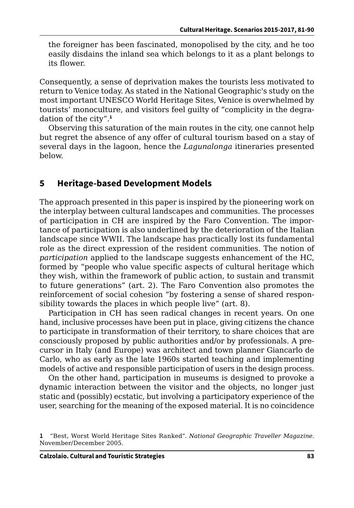the foreigner has been fascinated, monopolised by the city, and he too easily disdains the inland sea which belongs to it as a plant belongs to its flower.

Consequently, a sense of deprivation makes the tourists less motivated to return to Venice today. As stated in the National Geographic's study on the most important UNESCO World Heritage Sites, Venice is overwhelmed by tourists' monoculture, and visitors feel guilty of "complicity in the degradation of the city".**<sup>1</sup>**

Observing this saturation of the main routes in the city, one cannot help but regret the absence of any offer of cultural tourism based on a stay of several days in the lagoon, hence the *Lagunalonga* itineraries presented below.

#### **5 Heritage-based Development Models**

The approach presented in this paper is inspired by the pioneering work on the interplay between cultural landscapes and communities. The processes of participation in CH are inspired by the Faro Convention. The importance of participation is also underlined by the deterioration of the Italian landscape since WWII. The landscape has practically lost its fundamental role as the direct expression of the resident communities. The notion of *participation* applied to the landscape suggests enhancement of the HC, formed by "people who value specific aspects of cultural heritage which they wish, within the framework of public action, to sustain and transmit to future generations" (art. 2). The Faro Convention also promotes the reinforcement of social cohesion "by fostering a sense of shared responsibility towards the places in which people live" (art. 8).

Participation in CH has seen radical changes in recent years. On one hand, inclusive processes have been put in place, giving citizens the chance to participate in transformation of their territory, to share choices that are consciously proposed by public authorities and/or by professionals. A precursor in Italy (and Europe) was architect and town planner Giancarlo de Carlo, who as early as the late 1960s started teaching and implementing models of active and responsible participation of users in the design process.

On the other hand, participation in museums is designed to provoke a dynamic interaction between the visitor and the objects, no longer just static and (possibly) ecstatic, but involving a participatory experience of the user, searching for the meaning of the exposed material. It is no coincidence

**<sup>1</sup>** "Best, Worst World Heritage Sites Ranked". *National Geographic Traveller Magazine*. November/December 2005.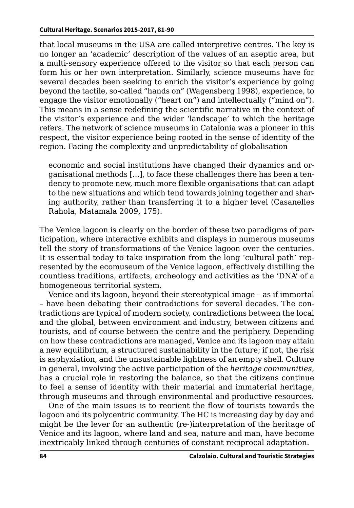that local museums in the USA are called interpretive centres. The key is no longer an 'academic' description of the values of an aseptic area, but a multi-sensory experience offered to the visitor so that each person can form his or her own interpretation. Similarly, science museums have for several decades been seeking to enrich the visitor's experience by going beyond the tactile, so-called "hands on" (Wagensberg 1998), experience, to engage the visitor emotionally ("heart on") and intellectually ("mind on"). This means in a sense redefining the scientific narrative in the context of the visitor's experience and the wider 'landscape' to which the heritage refers. The network of science museums in Catalonia was a pioneer in this respect, the visitor experience being rooted in the sense of identity of the region. Facing the complexity and unpredictability of globalisation

economic and social institutions have changed their dynamics and organisational methods […], to face these challenges there has been a tendency to promote new, much more flexible organisations that can adapt to the new situations and which tend towards joining together and sharing authority, rather than transferring it to a higher level (Casanelles Rahola, Matamala 2009, 175).

The Venice lagoon is clearly on the border of these two paradigms of participation, where interactive exhibits and displays in numerous museums tell the story of transformations of the Venice lagoon over the centuries. It is essential today to take inspiration from the long 'cultural path' represented by the ecomuseum of the Venice lagoon, effectively distilling the countless traditions, artifacts, archeology and activities as the 'DNA' of a homogeneous territorial system.

Venice and its lagoon, beyond their stereotypical image – as if immortal – have been debating their contradictions for several decades. The contradictions are typical of modern society, contradictions between the local and the global, between environment and industry, between citizens and tourists, and of course between the centre and the periphery. Depending on how these contradictions are managed, Venice and its lagoon may attain a new equilibrium, a structured sustainability in the future; if not, the risk is asphyxiation, and the unsustainable lightness of an empty shell. Culture in general, involving the active participation of the *heritage communities*, has a crucial role in restoring the balance, so that the citizens continue to feel a sense of identity with their material and immaterial heritage, through museums and through environmental and productive resources.

One of the main issues is to reorient the flow of tourists towards the lagoon and its polycentric community. The HC is increasing day by day and might be the lever for an authentic (re-)interpretation of the heritage of Venice and its lagoon, where land and sea, nature and man, have become inextricably linked through centuries of constant reciprocal adaptation.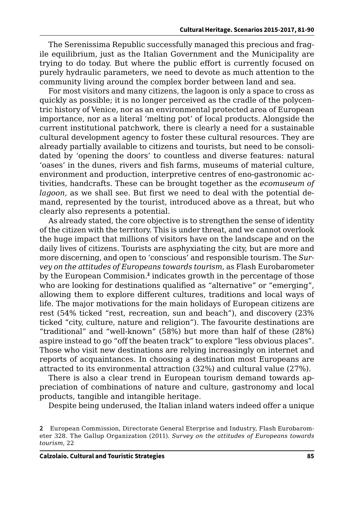The Serenissima Republic successfully managed this precious and fragile equilibrium, just as the Italian Government and the Municipality are trying to do today. But where the public effort is currently focused on purely hydraulic parameters, we need to devote as much attention to the community living around the complex border between land and sea.

For most visitors and many citizens, the lagoon is only a space to cross as quickly as possible; it is no longer perceived as the cradle of the polycentric history of Venice, nor as an environmental protected area of European importance, nor as a literal 'melting pot' of local products. Alongside the current institutional patchwork, there is clearly a need for a sustainable cultural development agency to foster these cultural resources. They are already partially available to citizens and tourists, but need to be consolidated by 'opening the doors' to countless and diverse features: natural 'oases' in the dunes, rivers and fish farms, museums of material culture, environment and production, interpretive centres of eno-gastronomic activities, handcrafts. These can be brought together as the *ecomuseum of lagoon*, as we shall see. But first we need to deal with the potential demand, represented by the tourist, introduced above as a threat, but who clearly also represents a potential.

As already stated, the core objective is to strengthen the sense of identity of the citizen with the territory. This is under threat, and we cannot overlook the huge impact that millions of visitors have on the landscape and on the daily lives of citizens. Tourists are asphyxiating the city, but are more and more discerning, and open to 'conscious' and responsible tourism. The *Survey on the attitudes of Europeans towards tourism*, as Flash Eurobarometer by the European Commision.**<sup>2</sup>** indicates growth in the percentage of those who are looking for destinations qualified as "alternative" or "emerging", allowing them to explore different cultures, traditions and local ways of life. The major motivations for the main holidays of European citizens are rest (54% ticked "rest, recreation, sun and beach"), and discovery (23% ticked "city, culture, nature and religion"). The favourite destinations are "traditional" and "well-known" (58%) but more than half of these (28%) aspire instead to go "off the beaten track" to explore "less obvious places". Those who visit new destinations are relying increasingly on internet and reports of acquaintances. In choosing a destination most Europeans are attracted to its environmental attraction (32%) and cultural value (27%).

There is also a clear trend in European tourism demand towards appreciation of combinations of nature and culture, gastronomy and local products, tangible and intangible heritage.

Despite being underused, the Italian inland waters indeed offer a unique

**<sup>2</sup>** European Commission, Directorate General Eterprise and Industry, Flash Eurobarometer 328. The Gallup Organization (2011). *Survey on the attitudes of Europeans towards tourism*, 22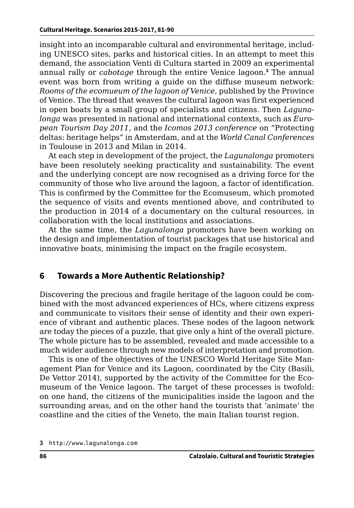insight into an incomparable cultural and environmental heritage, including UNESCO sites, parks and historical cities. In an attempt to meet this demand, the association Venti di Cultura started in 2009 an experimental annual rally or *cabotage* through the entire Venice lagoon.**<sup>3</sup>** The annual event was born from writing a guide on the diffuse museum network: *Rooms of the ecomueum of the lagoon of Venice*, published by the Province of Venice. The thread that weaves the cultural lagoon was first experienced in open boats by a small group of specialists and citizens. Then *Lagunalonga* was presented in national and international contexts, such as *European Tourism Day 2011*, and the *Icomos 2013 conference* on "Protecting deltas: heritage helps" in Amsterdam, and at the *World Canal Conferences*  in Toulouse in 2013 and Milan in 2014.

At each step in development of the project, the *Lagunalonga* promoters have been resolutely seeking practicality and sustainability. The event and the underlying concept are now recognised as a driving force for the community of those who live around the lagoon, a factor of identification. This is confirmed by the Committee for the Ecomuseum, which promoted the sequence of visits and events mentioned above, and contributed to the production in 2014 of a documentary on the cultural resources, in collaboration with the local institutions and associations.

At the same time, the *Lagunalonga* promoters have been working on the design and implementation of tourist packages that use historical and innovative boats, minimising the impact on the fragile ecosystem.

#### **6 Towards a More Authentic Relationship?**

Discovering the precious and fragile heritage of the lagoon could be combined with the most advanced experiences of HCs, where citizens express and communicate to visitors their sense of identity and their own experience of vibrant and authentic places. These nodes of the lagoon network are today the pieces of a puzzle, that give only a hint of the overall picture. The whole picture has to be assembled, revealed and made accessible to a much wider audience through new models of interpretation and promotion.

This is one of the objectives of the UNESCO World Heritage Site Management Plan for Venice and its Lagoon, coordinated by the City (Basili, De Vettor 2014), supported by the activity of the Committee for the Ecomuseum of the Venice lagoon. The target of these processes is twofold: on one hand, the citizens of the municipalities inside the lagoon and the surrounding areas, and on the other hand the tourists that 'animate' the coastline and the cities of the Veneto, the main Italian tourist region.

**<sup>3</sup>** [http://www.lagunalonga.c](http://www.lagunalonga.com)om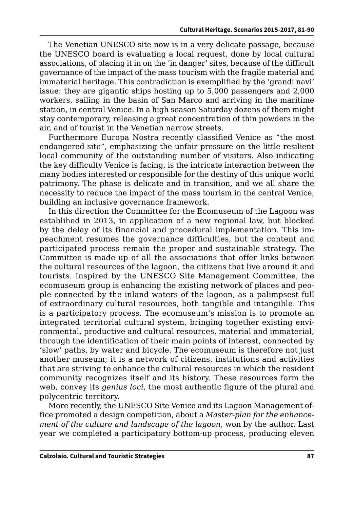The Venetian UNESCO site now is in a very delicate passage, because the UNESCO board is evaluating a local request, done by local cultural associations, of placing it in on the 'in danger' sites, because of the difficult governance of the impact of the mass tourism with the fragile material and immaterial heritage. This contradiction is exemplified by the 'grandi navi' issue: they are gigantic ships hosting up to 5,000 passengers and 2,000 workers, sailing in the basin of San Marco and arriving in the maritime station, in central Venice. In a high season Saturday dozens of them might stay contemporary, releasing a great concentration of thin powders in the air, and of tourist in the Venetian narrow streets.

Furthermore Europa Nostra recently classified Venice as "the most endangered site", emphasizing the unfair pressure on the little resilient local community of the outstanding number of visitors. Also indicating the key difficulty Venice is facing, is the intricate interaction between the many bodies interested or responsible for the destiny of this unique world patrimony. The phase is delicate and in transition, and we all share the necessity to reduce the impact of the mass tourism in the central Venice, building an inclusive governance framework.

In this direction the Committee for the Ecomuseum of the Lagoon was establihed in 2013, in application of a new regional law, but blocked by the delay of its financial and procedural implementation. This impeachment resumes the governance difficulties, but the content and participated process remain the proper and sustainable strategy. The Committee is made up of all the associations that offer links between the cultural resources of the lagoon, the citizens that live around it and tourists. Inspired by the UNESCO Site Management Committee, the ecomuseum group is enhancing the existing network of places and people connected by the inland waters of the lagoon, as a palimpsest full of extraordinary cultural resources, both tangible and intangible. This is a participatory process. The ecomuseum's mission is to promote an integrated territorial cultural system, bringing together existing environmental, productive and cultural resources, material and immaterial, through the identification of their main points of interest, connected by 'slow' paths, by water and bicycle. The ecomuseum is therefore not just another museum; it is a network of citizens, institutions and activities that are striving to enhance the cultural resources in which the resident community recognizes itself and its history. These resources form the web, convey its *genius loci*, the most authentic figure of the plural and polycentric territory.

More recently, the UNESCO Site Venice and its Lagoon Management office promoted a design competition, about a *Master-plan for the enhancement of the culture and landscape of the lagoon*, won by the author. Last year we completed a participatory bottom-up process, producing eleven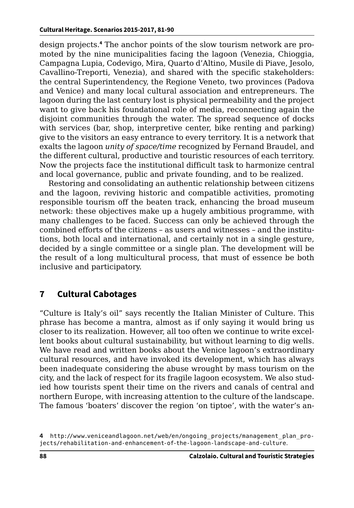design projects.**<sup>4</sup>** The anchor points of the slow tourism network are promoted by the nine municipalities facing the lagoon (Venezia, Chioggia, Campagna Lupia, Codevigo, Mira, Quarto d'Altino, Musile di Piave, Jesolo, Cavallino-Treporti, Venezia), and shared with the specific stakeholders: the central Superintendency, the Regione Veneto, two provinces (Padova and Venice) and many local cultural association and entrepreneurs. The lagoon during the last century lost is physical permeability and the project want to give back his foundational role of media, reconnecting again the disjoint communities through the water. The spread sequence of docks with services (bar, shop, interpretive center, bike renting and parking) give to the visitors an easy entrance to every territory. It is a network that exalts the lagoon *unity of space/time* recognized by Fernand Braudel, and the different cultural, productive and touristic resources of each territory. Now the projects face the institutional difficult task to harmonize central and local governance, public and private founding, and to be realized.

Restoring and consolidating an authentic relationship between citizens and the lagoon, reviving historic and compatible activities, promoting responsible tourism off the beaten track, enhancing the broad museum network: these objectives make up a hugely ambitious programme, with many challenges to be faced. Success can only be achieved through the combined efforts of the citizens – as users and witnesses – and the institutions, both local and international, and certainly not in a single gesture, decided by a single committee or a single plan. The development will be the result of a long multicultural process, that must of essence be both inclusive and participatory.

## **7 Cultural Cabotages**

"Culture is Italy's oil" says recently the Italian Minister of Culture. This phrase has become a mantra, almost as if only saying it would bring us closer to its realization. However, all too often we continue to write excellent books about cultural sustainability, but without learning to dig wells. We have read and written books about the Venice lagoon's extraordinary cultural resources, and have invoked its development, which has always been inadequate considering the abuse wrought by mass tourism on the city, and the lack of respect for its fragile lagoon ecosystem. We also studied how tourists spent their time on the rivers and canals of central and northern Europe, with increasing attention to the culture of the landscape. The famous 'boaters' discover the region 'on tiptoe', with the water's an-

**<sup>4</sup>** [http://www.veniceandlagoon.net/web/en/ongoing\\_projects/management\\_plan\\_pro](http://www.veniceandlagoon.net/web/en/ongoing_projects/management_plan_projects/rehabilitation-and-enhancement-of-the-lagoon-landscape-and-culture)[jects/rehabilitation-and-enhancement-of-the-lagoon-landscape-and-culture](http://www.veniceandlagoon.net/web/en/ongoing_projects/management_plan_projects/rehabilitation-and-enhancement-of-the-lagoon-landscape-and-culture).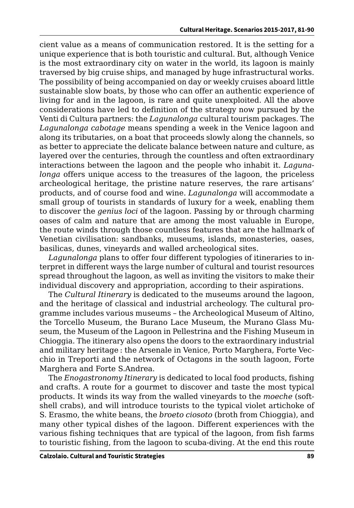cient value as a means of communication restored. It is the setting for a unique experience that is both touristic and cultural. But, although Venice is the most extraordinary city on water in the world, its lagoon is mainly traversed by big cruise ships, and managed by huge infrastructural works. The possibility of being accompanied on day or weekly cruises aboard little sustainable slow boats, by those who can offer an authentic experience of living for and in the lagoon, is rare and quite unexploited. All the above considerations have led to definition of the strategy now pursued by the Venti di Cultura partners: the *Lagunalonga* cultural tourism packages. The *Lagunalonga cabotage* means spending a week in the Venice lagoon and along its tributaries, on a boat that proceeds slowly along the channels, so as better to appreciate the delicate balance between nature and culture, as layered over the centuries, through the countless and often extraordinary interactions between the lagoon and the people who inhabit it. *Lagunalonga* offers unique access to the treasures of the lagoon, the priceless archeological heritage, the pristine nature reserves, the rare artisans' products, and of course food and wine. *Lagunalonga* will accommodate a small group of tourists in standards of luxury for a week, enabling them to discover the *genius loci* of the lagoon. Passing by or through charming oases of calm and nature that are among the most valuable in Europe, the route winds through those countless features that are the hallmark of Venetian civilisation: sandbanks, museums, islands, monasteries, oases, basilicas, dunes, vineyards and walled archeological sites.

*Lagunalonga* plans to offer four different typologies of itineraries to interpret in different ways the large number of cultural and tourist resources spread throughout the lagoon, as well as inviting the visitors to make their individual discovery and appropriation, according to their aspirations.

The *Cultural Itinerary* is dedicated to the museums around the lagoon, and the heritage of classical and industrial archeology. The cultural programme includes various museums – the Archeological Museum of Altino, the Torcello Museum, the Burano Lace Museum, the Murano Glass Museum, the Museum of the Lagoon in Pellestrina and the Fishing Museum in Chioggia. The itinerary also opens the doors to the extraordinary industrial and military heritage : the Arsenale in Venice, Porto Marghera, Forte Vecchio in Treporti and the network of Octagons in the south lagoon, Forte Marghera and Forte S.Andrea.

The *Enogastronomy Itinerary* is dedicated to local food products, fishing and crafts. A route for a gourmet to discover and taste the most typical products. It winds its way from the walled vineyards to the *moeche* (softshell crabs), and will introduce tourists to the typical violet artichoke of S. Erasmo, the white beans, the *broeto ciosoto* (broth from Chioggia), and many other typical dishes of the lagoon. Different experiences with the various fishing techniques that are typical of the lagoon, from fish farms to touristic fishing, from the lagoon to scuba-diving. At the end this route